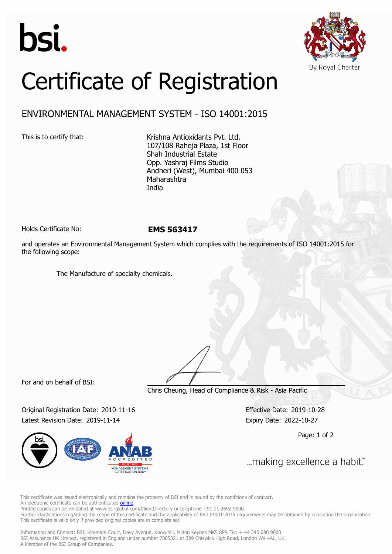



## Certificate of Registration

## ENVIRONMENTAL MANAGEMENT SYSTEM - ISO 14001:2015

This is to certify that: Krishna Antioxidants Pvt. Ltd. 107/108 Raheja Plaza, 1st Floor Shah Industrial Estate Opp. Yashraj Films Studio Andheri (West), Mumbai 400 053 Maharashtra India

Holds Certificate No: **EMS 563417**

and operates an Environmental Management System which complies with the requirements of ISO 14001:2015 for the following scope:

The Manufacture of specialty chemicals.

For and on behalf of BSI:

Chris Cheung, Head of Compliance & Risk - Asia Pacific

Original Registration Date: 2010-11-16 Effective Date: 2019-10-28 Latest Revision Date: 2019-11-14 Expiry Date: 2022-10-27



Page: 1 of 2

... making excellence a habit."

This certificate was issued electronically and remains the property of BSI and is bound by the conditions of contract. An electronic certificate can be authenticated **[online](https://pgplus.bsigroup.com/CertificateValidation/CertificateValidator.aspx?CertificateNumber=EMS+563417&ReIssueDate=14%2f11%2f2019&Template=india_en)** 

Printed copies can be validated at www.bsi-global.com/ClientDirectory or telephone +91 11 2692 9000. Further clarifications regarding the scope of this certificate and the applicability of ISO 14001:2015 requirements may be obtained by consulting the organization. This certificate is valid only if provided original copies are in complete set.

Information and Contact: BSI, Kitemark Court, Davy Avenue, Knowlhill, Milton Keynes MK5 8PP. Tel: + 44 345 080 9000 BSI Assurance UK Limited, registered in England under number 7805321 at 389 Chiswick High Road, London W4 4AL, UK. A Member of the BSI Group of Companies.